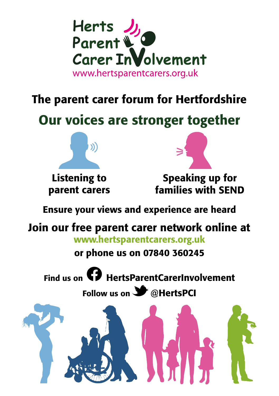

### The parent carer forum for Hertfordshire

# Our voices are stronger together



Listening to parent carers



Speaking up for families with SEND

Ensure your views and experience are heard

## Join our free parent carer network online at

www.hertsparentcarers.org.uk

or phone us on 07840 360245

Find us on **CD** HertsParentCarerInvolvement

Follow us on  $\blacktriangleright$  @HertsPCI